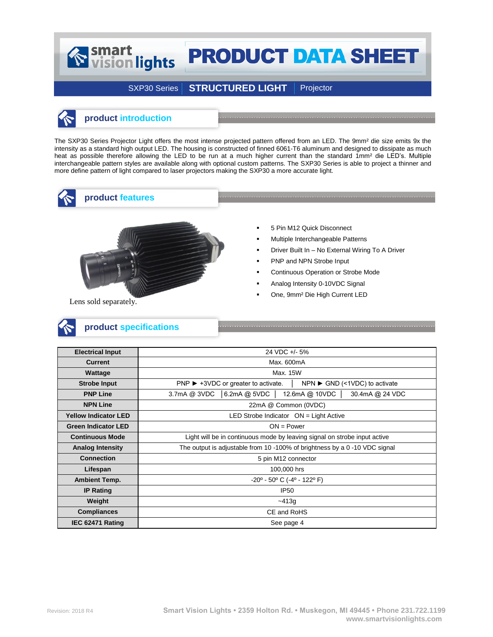## Smart<br>
vision lights **PRODUCT DATA SHEET**

## SXP30 Series | STRUCTURED LIGHT | Projector

### **product introduction**

The SXP30 Series Projector Light offers the most intense projected pattern offered from an LED. The 9mm² die size emits 9x the intensity as a standard high output LED. The housing is constructed of finned 6061-T6 aluminum and designed to dissipate as much heat as possible therefore allowing the LED to be run at a much higher current than the standard 1mm<sup>2</sup> die LED's. Multiple interchangeable pattern styles are available along with optional custom patterns. The SXP30 Series is able to project a thinner and more define pattern of light compared to laser projectors making the SXP30 a more accurate light.



**product features**



- 5 Pin M12 Quick Disconnect
- Multiple Interchangeable Patterns
- Driver Built In No External Wiring To A Driver
- PNP and NPN Strobe Input
- Continuous Operation or Strobe Mode
- Analog Intensity 0-10VDC Signal
- One, 9mm² Die High Current LED

Lens sold separately.



| <b>Electrical Input</b>     | 24 VDC +/- 5%                                                                                             |  |  |  |  |  |  |
|-----------------------------|-----------------------------------------------------------------------------------------------------------|--|--|--|--|--|--|
| <b>Current</b>              | Max. 600mA                                                                                                |  |  |  |  |  |  |
| Wattage                     | Max. 15W                                                                                                  |  |  |  |  |  |  |
| <b>Strobe Input</b>         | $PNP$ $\blacktriangleright$ +3VDC or greater to activate.<br>$NPN \triangleright$ GND (<1VDC) to activate |  |  |  |  |  |  |
| <b>PNP Line</b>             | $6.2mA$ @ 5VDC<br>3.7mA @ 3VDC<br>12.6mA @ 10VDC<br>30.4mA @ 24 VDC                                       |  |  |  |  |  |  |
| <b>NPN Line</b>             | 22mA @ Common (0VDC)                                                                                      |  |  |  |  |  |  |
| <b>Yellow Indicator LED</b> | LED Strobe Indicator ON = Light Active                                                                    |  |  |  |  |  |  |
| <b>Green Indicator LED</b>  | $ON = Power$                                                                                              |  |  |  |  |  |  |
| <b>Continuous Mode</b>      | Light will be in continuous mode by leaving signal on strobe input active                                 |  |  |  |  |  |  |
| <b>Analog Intensity</b>     | The output is adjustable from 10 -100% of brightness by a 0 -10 VDC signal                                |  |  |  |  |  |  |
| <b>Connection</b>           | 5 pin M12 connector                                                                                       |  |  |  |  |  |  |
| Lifespan                    | 100,000 hrs                                                                                               |  |  |  |  |  |  |
| <b>Ambient Temp.</b>        | $-20^{\circ}$ - 50° C (-4° - 122° F)                                                                      |  |  |  |  |  |  |
| <b>IP Rating</b>            | <b>IP50</b>                                                                                               |  |  |  |  |  |  |
| Weight                      | $-413q$                                                                                                   |  |  |  |  |  |  |
| <b>Compliances</b>          | CE and RoHS                                                                                               |  |  |  |  |  |  |
| IEC 62471 Rating            | See page 4                                                                                                |  |  |  |  |  |  |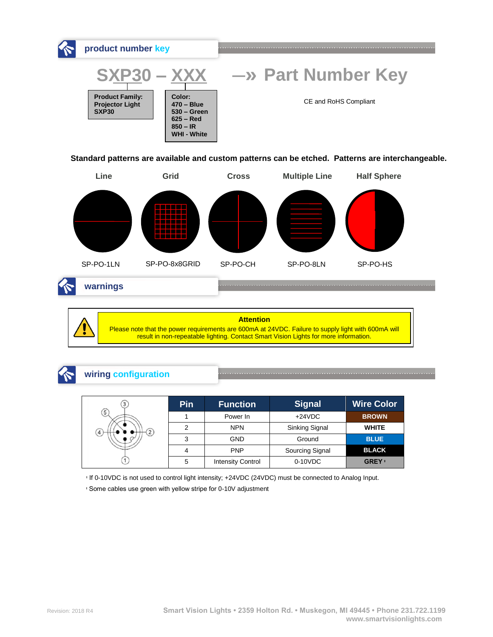

**Standard patterns are available and custom patterns can be etched. Patterns are interchangeable.**



**warnings**

### **Attention**

Please note that the power requirements are 600mA at 24VDC. Failure to supply light with 600mA will result in non-repeatable lighting. Contact Smart Vision Lights for more information.

# **wiring configuration**

|                | Pin | <b>Function</b>          | <b>Signal</b>   | <b>Wire Color</b> |
|----------------|-----|--------------------------|-----------------|-------------------|
| $\sqrt{5}$     |     | Power In                 | $+24VDC$        | <b>BROWN</b>      |
| $\overline{4}$ | 2   | <b>NPN</b>               | Sinking Signal  | <b>WHITE</b>      |
|                | 3   | <b>GND</b>               | Ground          | <b>BLUE</b>       |
|                |     | <b>PNP</b>               | Sourcing Signal | <b>BLACK</b>      |
|                | 5   | <b>Intensity Control</b> | $0-10VDC$       | <b>GREY</b> +     |

ᶧ If 0-10VDC is not used to control light intensity; +24VDC (24VDC) must be connected to Analog Input.

ᶧ Some cables use green with yellow stripe for 0-10V adjustment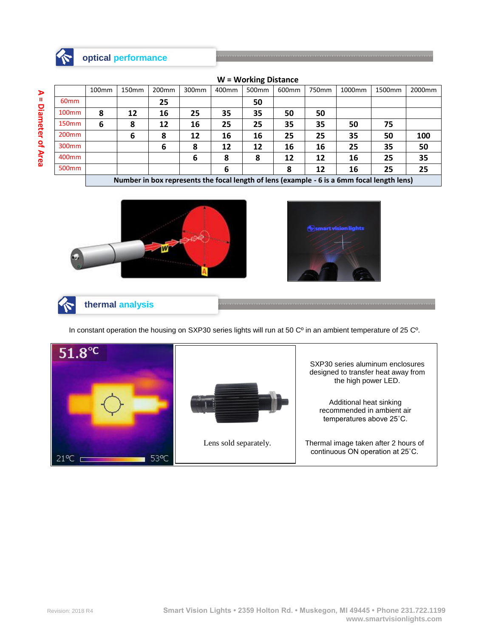

**A = Diameter** A = Diameter of Area

|  | <b>W</b> = Working Distance |  |
|--|-----------------------------|--|
|--|-----------------------------|--|

|                   | 100 <sub>mm</sub>                                                                          | 150mm | 200 <sub>mm</sub> | 300mm | 400mm | 500 <sub>mm</sub> | 600mm | 750mm | 1000mm | 1500mm | 2000 <sub>mm</sub> |
|-------------------|--------------------------------------------------------------------------------------------|-------|-------------------|-------|-------|-------------------|-------|-------|--------|--------|--------------------|
| 60 <sub>mm</sub>  |                                                                                            |       | 25                |       |       | 50                |       |       |        |        |                    |
| 100 <sub>mm</sub> | 8                                                                                          | 12    | 16                | 25    | 35    | 35                | 50    | 50    |        |        |                    |
| 150 <sub>mm</sub> | 6                                                                                          | 8     | 12                | 16    | 25    | 25                | 35    | 35    | 50     | 75     |                    |
| 200 <sub>mm</sub> |                                                                                            | 6     | 8                 | 12    | 16    | 16                | 25    | 25    | 35     | 50     | 100                |
| 300 <sub>mm</sub> |                                                                                            |       | 6                 | 8     | 12    | 12                | 16    | 16    | 25     | 35     | 50                 |
| 400 <sub>mm</sub> |                                                                                            |       |                   | 6     | 8     | 8                 | 12    | 12    | 16     | 25     | 35                 |
| 500 <sub>mm</sub> |                                                                                            |       |                   |       | 6     |                   | 8     | 12    | 16     | 25     | 25                 |
|                   | Number in box represents the focal length of lens (example - 6 is a 6mm focal length lens) |       |                   |       |       |                   |       |       |        |        |                    |





<u> 1989 - Johann Stein, fransk politik format (f. 1989)</u>

**thermal analysis**

In constant operation the housing on SXP30 series lights will run at 50 C<sup>o</sup> in an ambient temperature of 25 C<sup>o</sup>.

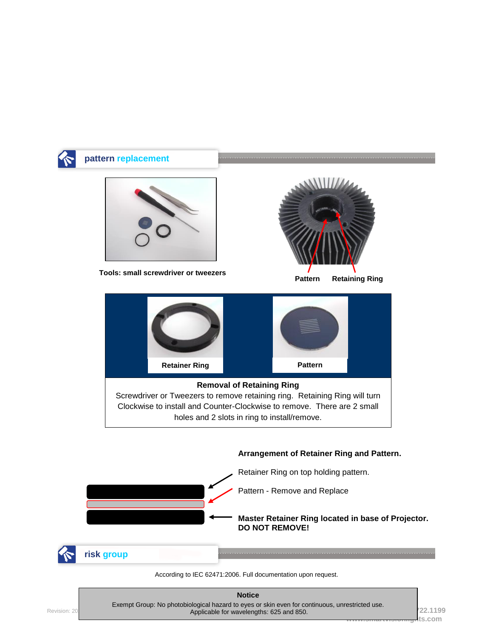